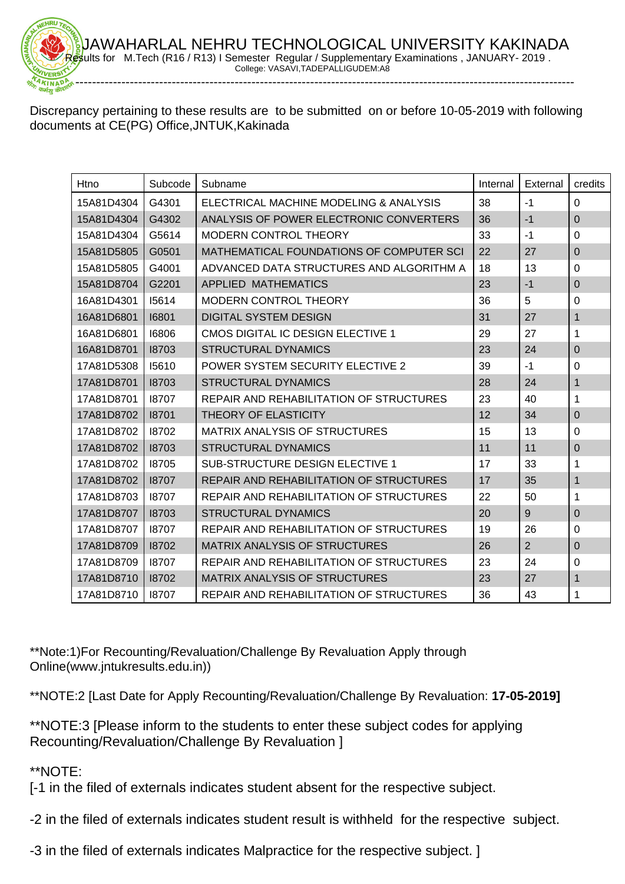Discrepancy pertaining to these results are to be submitted on or before 10-05-2019 with following documents at CE(PG) Office,JNTUK,Kakinada

| Htno       | Subcode | Subname                                  | Internal | External       | credits        |
|------------|---------|------------------------------------------|----------|----------------|----------------|
| 15A81D4304 | G4301   | ELECTRICAL MACHINE MODELING & ANALYSIS   | 38       | $-1$           | $\Omega$       |
| 15A81D4304 | G4302   | ANALYSIS OF POWER ELECTRONIC CONVERTERS  | 36       | $-1$           | $\overline{0}$ |
| 15A81D4304 | G5614   | <b>MODERN CONTROL THEORY</b>             | 33       | $-1$           | 0              |
| 15A81D5805 | G0501   | MATHEMATICAL FOUNDATIONS OF COMPUTER SCI | 22       | 27             | $\Omega$       |
| 15A81D5805 | G4001   | ADVANCED DATA STRUCTURES AND ALGORITHM A | 18       | 13             | $\Omega$       |
| 15A81D8704 | G2201   | APPLIED MATHEMATICS                      | 23       | $-1$           | $\overline{0}$ |
| 16A81D4301 | 15614   | <b>MODERN CONTROL THEORY</b>             | 36       | 5              | $\mathbf 0$    |
| 16A81D6801 | 16801   | <b>DIGITAL SYSTEM DESIGN</b>             | 31       | 27             | $\mathbf{1}$   |
| 16A81D6801 | 16806   | CMOS DIGITAL IC DESIGN ELECTIVE 1        | 29       | 27             | 1              |
| 16A81D8701 | 18703   | <b>STRUCTURAL DYNAMICS</b>               | 23       | 24             | $\mathbf 0$    |
| 17A81D5308 | 15610   | POWER SYSTEM SECURITY ELECTIVE 2         | 39       | $-1$           | 0              |
| 17A81D8701 | 18703   | <b>STRUCTURAL DYNAMICS</b>               | 28       | 24             | 1              |
| 17A81D8701 | 18707   | REPAIR AND REHABILITATION OF STRUCTURES  | 23       | 40             | 1              |
| 17A81D8702 | 18701   | <b>THEORY OF ELASTICITY</b>              | 12       | 34             | $\mathbf 0$    |
| 17A81D8702 | 18702   | <b>MATRIX ANALYSIS OF STRUCTURES</b>     | 15       | 13             | 0              |
| 17A81D8702 | 18703   | <b>STRUCTURAL DYNAMICS</b>               | 11       | 11             | $\mathbf 0$    |
| 17A81D8702 | 18705   | <b>SUB-STRUCTURE DESIGN ELECTIVE 1</b>   | 17       | 33             | 1              |
| 17A81D8702 | 18707   | REPAIR AND REHABILITATION OF STRUCTURES  | 17       | 35             | 1              |
| 17A81D8703 | 18707   | REPAIR AND REHABILITATION OF STRUCTURES  | 22       | 50             | 1              |
| 17A81D8707 | 18703   | <b>STRUCTURAL DYNAMICS</b>               | 20       | 9              | $\mathbf 0$    |
| 17A81D8707 | 18707   | REPAIR AND REHABILITATION OF STRUCTURES  | 19       | 26             | 0              |
| 17A81D8709 | 18702   | MATRIX ANALYSIS OF STRUCTURES            | 26       | $\overline{2}$ | $\mathbf 0$    |
| 17A81D8709 | 18707   | REPAIR AND REHABILITATION OF STRUCTURES  | 23       | 24             | $\mathbf 0$    |
| 17A81D8710 | 18702   | <b>MATRIX ANALYSIS OF STRUCTURES</b>     | 23       | 27             | 1              |
| 17A81D8710 | 18707   | REPAIR AND REHABILITATION OF STRUCTURES  | 36       | 43             | 1              |

\*\*Note:1)For Recounting/Revaluation/Challenge By Revaluation Apply through Online(www.jntukresults.edu.in))

\*\*NOTE:2 [Last Date for Apply Recounting/Revaluation/Challenge By Revaluation: **17-05-2019]**

\*\*NOTE:3 [Please inform to the students to enter these subject codes for applying Recounting/Revaluation/Challenge By Revaluation ]

\*\*NOTE:

[-1 in the filed of externals indicates student absent for the respective subject.

-2 in the filed of externals indicates student result is withheld for the respective subject.

-3 in the filed of externals indicates Malpractice for the respective subject. ]